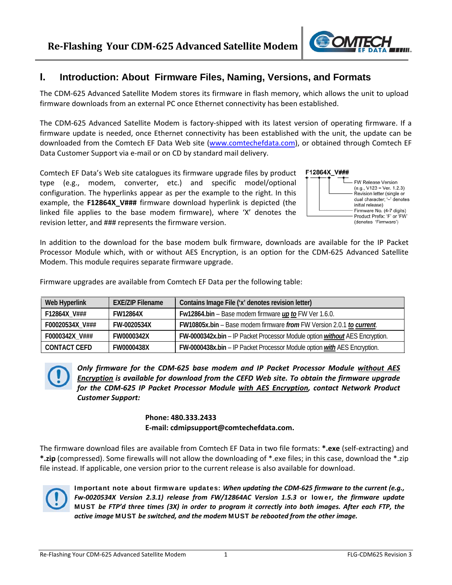

#### **I. Introduction: About Firmware Files, Naming, Versions, and Formats**

The CDM‐625 Advanced Satellite Modem stores its firmware in flash memory, which allows the unit to upload firmware downloads from an external PC once Ethernet connectivity has been established.

The CDM‐625 Advanced Satellite Modem is factory‐shipped with its latest version of operating firmware. If a firmware update is needed, once Ethernet connectivity has been established with the unit, the update can be downloaded from the Comtech EF Data Web site (www.comtechefdata.com), or obtained through Comtech EF Data Customer Support via e‐mail or on CD by standard mail delivery.

Comtech EF Data's Web site catalogues its firmware upgrade files by product type (e.g., modem, converter, etc.) and specific model/optional configuration. The hyperlinks appear as per the example to the right. In this example, the **F12864X\_V###** firmware download hyperlink is depicted (the linked file applies to the base modem firmware), where 'X' denotes the revision letter, and ### represents the firmware version.

|  | F12804X V### |  |
|--|--------------|--|
|  |              |  |



In addition to the download for the base modem bulk firmware, downloads are available for the IP Packet Processor Module which, with or without AES Encryption, is an option for the CDM‐625 Advanced Satellite Modem. This module requires separate firmware upgrade.

Firmware upgrades are available from Comtech EF Data per the following table:

| Web Hyperlink       | <b>EXE/ZIP Filename</b> | Contains Image File ('x' denotes revision letter)                                  |
|---------------------|-------------------------|------------------------------------------------------------------------------------|
| F12864X_V###        | <b>FW12864X</b>         | Fw12864.bin – Base modem firmware $\mu p$ to FW Ver 1.6.0.                         |
| F00020534X_V###     | FW-0020534X             | FW10805x.bin - Base modem firmware from FW Version 2.0.1 to current.               |
| F0000342X_V###      | FW0000342X              | FW-0000342x.bin – IP Packet Processor Module option <i>without</i> AES Encryption. |
| <b>CONTACT CEFD</b> | FW0000438X              | FW-0000438x.bin - IP Packet Processor Module option with AES Encryption.           |

*Only firmware for the CDM‐625 base modem and IP Packet Processor Module without AES Encryption is available for download from the CEFD Web site. To obtain the firmware upgrade for the CDM‐625 IP Packet Processor Module with AES Encryption, contact Network Product Customer Support:*

#### **Phone: 480.333.2433 E‐mail: cdmipsupport@comtechefdata.com.**

The firmware download files are available from Comtech EF Data in two file formats: **\*.exe** (self‐extracting) and **\*.zip** (compressed). Some firewalls will not allow the downloading of \*.exe files; in this case, download the \*.zip file instead. If applicable, one version prior to the current release is also available for download.



Important note about firmware updates: *When updating the CDM‐625 firmware to the current (e.g., Fw‐0020534X Version 2.3.1) release from FW/12864AC Version 1.5.3* or lower*, the firmware update* MUST be FTP'd three times (3X) in order to program it correctly into both images. After each FTP, the *active image* MUST *be switched, and the modem* MUST *be rebooted from the other image.*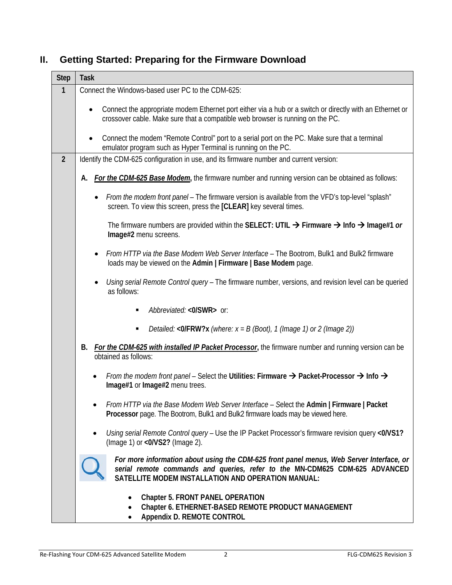## **II. Getting Started: Preparing for the Firmware Download**

| <b>Step</b>    | <b>Task</b>                                                                                                                                                                                                                   |  |  |
|----------------|-------------------------------------------------------------------------------------------------------------------------------------------------------------------------------------------------------------------------------|--|--|
| 1              | Connect the Windows-based user PC to the CDM-625:                                                                                                                                                                             |  |  |
|                | Connect the appropriate modem Ethernet port either via a hub or a switch or directly with an Ethernet or<br>$\bullet$<br>crossover cable. Make sure that a compatible web browser is running on the PC.                       |  |  |
|                | Connect the modem "Remote Control" port to a serial port on the PC. Make sure that a terminal<br>emulator program such as Hyper Terminal is running on the PC.                                                                |  |  |
| $\overline{2}$ | Identify the CDM-625 configuration in use, and its firmware number and current version:                                                                                                                                       |  |  |
|                | For the CDM-625 Base Modem, the firmware number and running version can be obtained as follows:<br>А.                                                                                                                         |  |  |
|                | From the modem front panel – The firmware version is available from the VFD's top-level "splash"<br>screen. To view this screen, press the [CLEAR] key several times.                                                         |  |  |
|                | The firmware numbers are provided within the SELECT: UTIL $\rightarrow$ Firmware $\rightarrow$ Info $\rightarrow$ Image#1 or<br>Image#2 menu screens.                                                                         |  |  |
|                | From HTTP via the Base Modem Web Server Interface - The Bootrom, Bulk1 and Bulk2 firmware<br>loads may be viewed on the Admin   Firmware   Base Modem page.                                                                   |  |  |
|                | Using serial Remote Control query - The firmware number, versions, and revision level can be queried<br>as follows:                                                                                                           |  |  |
|                | Abbreviated: <0/SWR> or:                                                                                                                                                                                                      |  |  |
|                | Detailed: < $0$ /FRW?x (where: $x = B$ (Boot), 1 (Image 1) or 2 (Image 2))<br>п                                                                                                                                               |  |  |
|                | For the CDM-625 with installed IP Packet Processor, the firmware number and running version can be<br>В.<br>obtained as follows:                                                                                              |  |  |
|                | From the modem front panel – Select the Utilities: Firmware $\rightarrow$ Packet-Processor $\rightarrow$ Info $\rightarrow$<br>$\bullet$<br>Image#1 or Image#2 menu trees.                                                    |  |  |
|                | From HTTP via the Base Modem Web Server Interface - Select the Admin   Firmware   Packet<br>Processor page. The Bootrom, Bulk1 and Bulk2 firmware loads may be viewed here.                                                   |  |  |
|                | Using serial Remote Control query - Use the IP Packet Processor's firmware revision query <0/VS1?<br>(Image 1) or <0/VS2? (Image 2).                                                                                          |  |  |
|                | For more information about using the CDM-625 front panel menus, Web Server Interface, or<br>serial remote commands and queries, refer to the MN-CDM625 CDM-625 ADVANCED<br>SATELLITE MODEM INSTALLATION AND OPERATION MANUAL: |  |  |
|                | <b>Chapter 5. FRONT PANEL OPERATION</b><br>Chapter 6. ETHERNET-BASED REMOTE PRODUCT MANAGEMENT<br>Appendix D. REMOTE CONTROL                                                                                                  |  |  |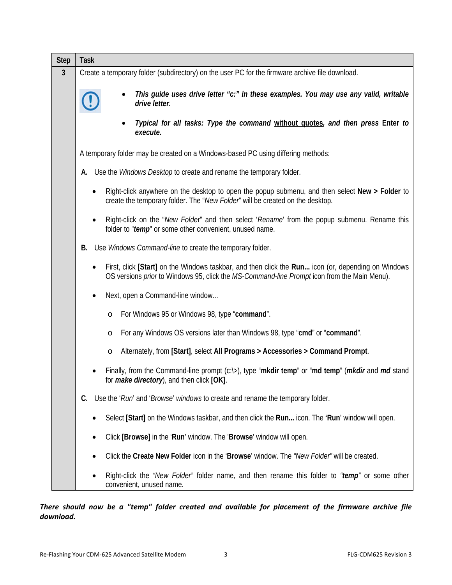| <b>Step</b>  | <b>Task</b>                                                                                                                                                                                       |  |  |
|--------------|---------------------------------------------------------------------------------------------------------------------------------------------------------------------------------------------------|--|--|
| $\mathbf{3}$ | Create a temporary folder (subdirectory) on the user PC for the firmware archive file download.                                                                                                   |  |  |
|              | This guide uses drive letter "c:" in these examples. You may use any valid, writable<br>drive letter.                                                                                             |  |  |
|              | Typical for all tasks: Type the command without quotes, and then press Enter to<br>execute.                                                                                                       |  |  |
|              | A temporary folder may be created on a Windows-based PC using differing methods:                                                                                                                  |  |  |
|              | Use the Windows Desktop to create and rename the temporary folder.<br>А.                                                                                                                          |  |  |
|              | Right-click anywhere on the desktop to open the popup submenu, and then select New > Folder to<br>create the temporary folder. The "New Folder" will be created on the desktop.                   |  |  |
|              | Right-click on the "New Folder" and then select 'Rename' from the popup submenu. Rename this<br>folder to "temp" or some other convenient, unused name.                                           |  |  |
|              | Use Windows Command-line to create the temporary folder.<br>В.                                                                                                                                    |  |  |
|              | First, click [Start] on the Windows taskbar, and then click the Run icon (or, depending on Windows<br>OS versions prior to Windows 95, click the MS-Command-line Prompt icon from the Main Menu). |  |  |
|              | Next, open a Command-line window                                                                                                                                                                  |  |  |
|              | For Windows 95 or Windows 98, type "command".<br>$\circ$                                                                                                                                          |  |  |
|              | For any Windows OS versions later than Windows 98, type "cmd" or "command".<br>O                                                                                                                  |  |  |
|              | Alternately, from [Start], select All Programs > Accessories > Command Prompt.<br>O                                                                                                               |  |  |
|              | Finally, from the Command-line prompt $(c \Rightarrow)$ , type "mkdir temp" or "md temp" ( <i>mkdir</i> and <i>md</i> stand<br>for <i>make directory</i> ), and then click [OK]                   |  |  |
|              | Use the 'Run' and 'Browse' windows to create and rename the temporary folder.<br>C.                                                                                                               |  |  |
|              | Select [Start] on the Windows taskbar, and then click the Run icon. The 'Run' window will open.                                                                                                   |  |  |
|              | Click [Browse] in the 'Run' window. The 'Browse' window will open.                                                                                                                                |  |  |
|              | Click the Create New Folder icon in the 'Browse' window. The "New Folder" will be created.                                                                                                        |  |  |
|              | Right-click the "New Folder" folder name, and then rename this folder to "temp" or some other<br>convenient, unused name.                                                                         |  |  |

*There should now be a "temp" folder created and available for placement of the firmware archive file download.*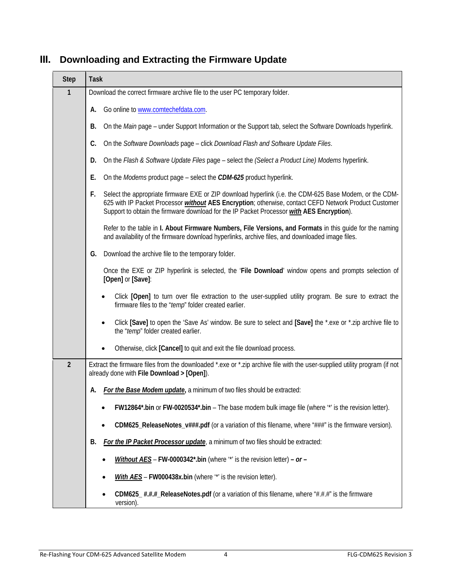| <b>Step</b>    | <b>Task</b>                                                                                                                                                                                                                                                                                                                |  |  |
|----------------|----------------------------------------------------------------------------------------------------------------------------------------------------------------------------------------------------------------------------------------------------------------------------------------------------------------------------|--|--|
| 1              | Download the correct firmware archive file to the user PC temporary folder.                                                                                                                                                                                                                                                |  |  |
|                | Go online to www.comtechefdata.com.<br>А.                                                                                                                                                                                                                                                                                  |  |  |
|                | On the Main page - under Support Information or the Support tab, select the Software Downloads hyperlink.<br>В.                                                                                                                                                                                                            |  |  |
|                | C.<br>On the Software Downloads page - click Download Flash and Software Update Files.                                                                                                                                                                                                                                     |  |  |
|                | On the Flash & Software Update Files page - select the (Select a Product Line) Modems hyperlink.<br>D.                                                                                                                                                                                                                     |  |  |
|                | Е.<br>On the <i>Modems</i> product page – select the <i>CDM-625</i> product hyperlink.                                                                                                                                                                                                                                     |  |  |
|                | Select the appropriate firmware EXE or ZIP download hyperlink (i.e. the CDM-625 Base Modem, or the CDM-<br>F.<br>625 with IP Packet Processor <i>without</i> AES Encryption; otherwise, contact CEFD Network Product Customer<br>Support to obtain the firmware download for the IP Packet Processor with AES Encryption). |  |  |
|                | Refer to the table in I. About Firmware Numbers, File Versions, and Formats in this quide for the naming<br>and availability of the firmware download hyperlinks, archive files, and downloaded image files.                                                                                                               |  |  |
|                | Download the archive file to the temporary folder.<br>G.                                                                                                                                                                                                                                                                   |  |  |
|                | Once the EXE or ZIP hyperlink is selected, the 'File Download' window opens and prompts selection of<br>[Open] or [Save]:                                                                                                                                                                                                  |  |  |
|                | Click [Open] to turn over file extraction to the user-supplied utility program. Be sure to extract the<br>firmware files to the "temp" folder created earlier.                                                                                                                                                             |  |  |
|                | Click [Save] to open the 'Save As' window. Be sure to select and [Save] the *.exe or *.zip archive file to<br>the "temp" folder created earlier.                                                                                                                                                                           |  |  |
|                | Otherwise, click [Cancel] to quit and exit the file download process.                                                                                                                                                                                                                                                      |  |  |
| $\overline{2}$ | Extract the firmware files from the downloaded *.exe or *.zip archive file with the user-supplied utility program (if not<br>already done with File Download > [Open]).                                                                                                                                                    |  |  |
|                | For the Base Modem update, a minimum of two files should be extracted:<br>А.                                                                                                                                                                                                                                               |  |  |
|                | FW12864*.bin or FW-0020534*.bin - The base modem bulk image file (where "*' is the revision letter).                                                                                                                                                                                                                       |  |  |
|                | CDM625_ReleaseNotes_v###.pdf (or a variation of this filename, where "###" is the firmware version).                                                                                                                                                                                                                       |  |  |
|                | For the IP Packet Processor update, a minimum of two files should be extracted:<br>В.                                                                                                                                                                                                                                      |  |  |
|                | Without $AES$ – FW-0000342*.bin (where "*' is the revision letter) – or –                                                                                                                                                                                                                                                  |  |  |
|                | With AES - FW000438x.bin (where "*' is the revision letter).                                                                                                                                                                                                                                                               |  |  |
|                | CDM625_#.#.#_ReleaseNotes.pdf (or a variation of this filename, where "#.#.#" is the firmware<br>version).                                                                                                                                                                                                                 |  |  |

## **III. Downloading and Extracting the Firmware Update**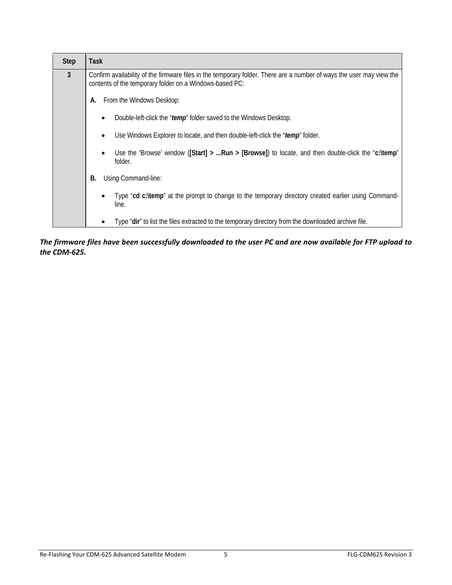| <b>Step</b> | Task                                                                                                                                                                            |  |  |
|-------------|---------------------------------------------------------------------------------------------------------------------------------------------------------------------------------|--|--|
| 3           | Confirm availability of the firmware files in the temporary folder. There are a number of ways the user may view the<br>contents of the temporary folder on a Windows-based PC: |  |  |
|             | From the Windows Desktop:<br>А.                                                                                                                                                 |  |  |
|             | Double-left-click the "temp" folder saved to the Windows Desktop.                                                                                                               |  |  |
|             | Use Windows Explorer to locate, and then double-left-click the "temp" folder.                                                                                                   |  |  |
|             | Use the 'Browse' window ([Start] > Run > [Browse]) to locate, and then double-click the "c: \temp"<br>folder.                                                                   |  |  |
|             | Using Command-line:<br>В.                                                                                                                                                       |  |  |
|             | Type "cd c:\temp" at the prompt to change to the temporary directory created earlier using Command-<br>line.                                                                    |  |  |
|             | Type "dir" to list the files extracted to the temporary directory from the downloaded archive file.                                                                             |  |  |

The firmware files have been successfully downloaded to the user PC and are now available for FTP upload to *the CDM‐625.*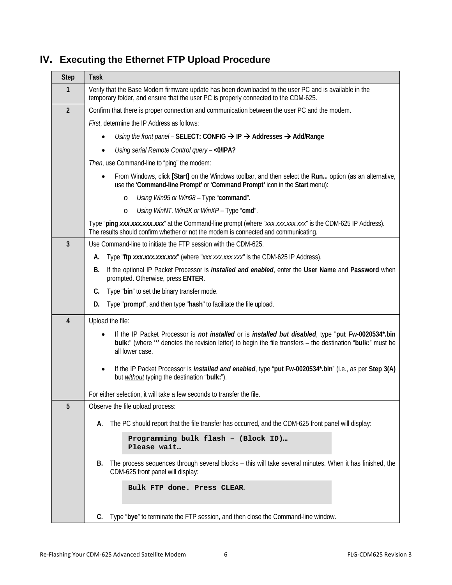# **IV. Executing the Ethernet FTP Upload Procedure**

| <b>Step</b>    | Task                                                                                                                                                                                                                                                  |  |  |
|----------------|-------------------------------------------------------------------------------------------------------------------------------------------------------------------------------------------------------------------------------------------------------|--|--|
| $\mathbf{1}$   | Verify that the Base Modem firmware update has been downloaded to the user PC and is available in the<br>temporary folder, and ensure that the user PC is properly connected to the CDM-625.                                                          |  |  |
| $\overline{2}$ | Confirm that there is proper connection and communication between the user PC and the modem.                                                                                                                                                          |  |  |
|                | First, determine the IP Address as follows:                                                                                                                                                                                                           |  |  |
|                | Using the front panel – SELECT: CONFIG $\rightarrow$ IP $\rightarrow$ Addresses $\rightarrow$ Add/Range                                                                                                                                               |  |  |
|                | Using serial Remote Control query - < 0/IPA?                                                                                                                                                                                                          |  |  |
|                | Then, use Command-line to "ping" the modem:                                                                                                                                                                                                           |  |  |
|                | From Windows, click [Start] on the Windows toolbar, and then select the Run option (as an alternative,<br>use the 'Command-line Prompt' or 'Command Prompt' icon in the Start menu):                                                                  |  |  |
|                | Using Win95 or Win98 - Type "command".<br>$\circ$                                                                                                                                                                                                     |  |  |
|                | Using WinNT, Win2K or WinXP - Type "cmd".<br>$\circ$                                                                                                                                                                                                  |  |  |
|                | Type "ping xxx.xxx.xxx.xxx" at the Command-line prompt (where "xxx.xxx.xxx.xxx" is the CDM-625 IP Address).<br>The results should confirm whether or not the modem is connected and communicating.                                                    |  |  |
| $\overline{3}$ | Use Command-line to initiate the FTP session with the CDM-625.                                                                                                                                                                                        |  |  |
|                | Type "ftp xxx.xxx.xxx.xxx" (where "xxx.xxx.xxx.xxx" is the CDM-625 IP Address).<br>А.                                                                                                                                                                 |  |  |
|                | If the optional IP Packet Processor is <i>installed and enabled</i> , enter the User Name and Password when<br>В.<br>prompted. Otherwise, press ENTER.                                                                                                |  |  |
|                | Type "bin" to set the binary transfer mode.<br>C.                                                                                                                                                                                                     |  |  |
|                | Type "prompt", and then type "hash" to facilitate the file upload.<br>D.                                                                                                                                                                              |  |  |
| 4              | Upload the file:                                                                                                                                                                                                                                      |  |  |
|                | If the IP Packet Processor is <i>not installed</i> or is <i>installed but disabled</i> , type "put Fw-0020534*.bin<br>bulk:" (where "*' denotes the revision letter) to begin the file transfers - the destination "bulk:" must be<br>all lower case. |  |  |
|                | If the IP Packet Processor is <i>installed and enabled</i> , type "put Fw-0020534*.bin" (i.e., as per Step 3(A)<br>but <i>without</i> typing the destination "bulk:").                                                                                |  |  |
|                | For either selection, it will take a few seconds to transfer the file.                                                                                                                                                                                |  |  |
| 5              | Observe the file upload process:                                                                                                                                                                                                                      |  |  |
|                | The PC should report that the file transfer has occurred, and the CDM-625 front panel will display:<br>А.                                                                                                                                             |  |  |
|                | Programming bulk flash - (Block ID)                                                                                                                                                                                                                   |  |  |
|                | Please wait                                                                                                                                                                                                                                           |  |  |
|                | The process sequences through several blocks - this will take several minutes. When it has finished, the<br>В.<br>CDM-625 front panel will display:                                                                                                   |  |  |
|                | Bulk FTP done. Press CLEAR.                                                                                                                                                                                                                           |  |  |
|                | Type "bye" to terminate the FTP session, and then close the Command-line window.<br>C.                                                                                                                                                                |  |  |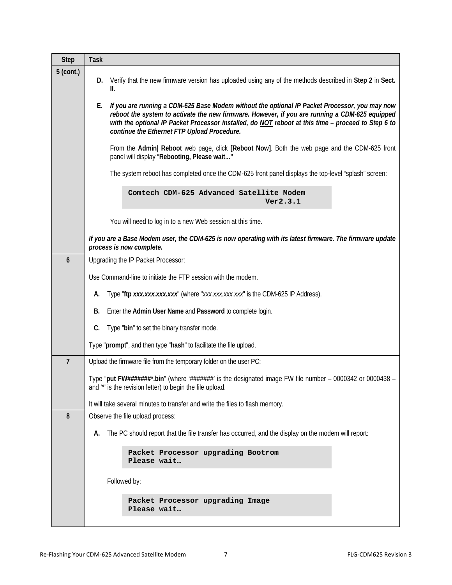| <b>Step</b>    | <b>Task</b>                                                                                                                                                                                                                                                                                                                                                |  |  |
|----------------|------------------------------------------------------------------------------------------------------------------------------------------------------------------------------------------------------------------------------------------------------------------------------------------------------------------------------------------------------------|--|--|
| $5$ (cont.)    | Verify that the new firmware version has uploaded using any of the methods described in Step 2 in Sect.<br>D.<br>II.                                                                                                                                                                                                                                       |  |  |
|                | If you are running a CDM-625 Base Modem without the optional IP Packet Processor, you may now<br>Е.<br>reboot the system to activate the new firmware. However, if you are running a CDM-625 equipped<br>with the optional IP Packet Processor installed, do NOT reboot at this time - proceed to Step 6 to<br>continue the Ethernet FTP Upload Procedure. |  |  |
|                | From the Admin  Reboot web page, click [Reboot Now]. Both the web page and the CDM-625 front<br>panel will display "Rebooting, Please wait"                                                                                                                                                                                                                |  |  |
|                | The system reboot has completed once the CDM-625 front panel displays the top-level "splash" screen:                                                                                                                                                                                                                                                       |  |  |
|                | Comtech CDM-625 Advanced Satellite Modem<br>Ver2.3.1                                                                                                                                                                                                                                                                                                       |  |  |
|                | You will need to log in to a new Web session at this time.                                                                                                                                                                                                                                                                                                 |  |  |
|                | If you are a Base Modem user, the CDM-625 is now operating with its latest firmware. The firmware update<br>process is now complete.                                                                                                                                                                                                                       |  |  |
| 6              | Upgrading the IP Packet Processor:                                                                                                                                                                                                                                                                                                                         |  |  |
|                | Use Command-line to initiate the FTP session with the modem.                                                                                                                                                                                                                                                                                               |  |  |
|                | Type "ftp xxx.xxx.xxx.xxx" (where "xxx.xxx.xxx.xxx" is the CDM-625 IP Address).<br>А.                                                                                                                                                                                                                                                                      |  |  |
|                | Enter the Admin User Name and Password to complete login.<br>В.                                                                                                                                                                                                                                                                                            |  |  |
|                | Type "bin" to set the binary transfer mode.<br>C.                                                                                                                                                                                                                                                                                                          |  |  |
|                | Type "prompt", and then type "hash" to facilitate the file upload.                                                                                                                                                                                                                                                                                         |  |  |
| $\overline{7}$ | Upload the firmware file from the temporary folder on the user PC:                                                                                                                                                                                                                                                                                         |  |  |
|                | Type "put FW#######*.bin" (where '#######' is the designated image FW file number - 0000342 or 0000438 -<br>and "" is the revision letter) to begin the file upload.                                                                                                                                                                                       |  |  |
|                | It will take several minutes to transfer and write the files to flash memory.                                                                                                                                                                                                                                                                              |  |  |
| 8              | Observe the file upload process:                                                                                                                                                                                                                                                                                                                           |  |  |
|                | The PC should report that the file transfer has occurred, and the display on the modem will report:<br>А.                                                                                                                                                                                                                                                  |  |  |
|                | Packet Processor upgrading Bootrom<br>Please wait                                                                                                                                                                                                                                                                                                          |  |  |
|                | Followed by:                                                                                                                                                                                                                                                                                                                                               |  |  |
|                | Packet Processor upgrading Image<br>Please wait                                                                                                                                                                                                                                                                                                            |  |  |
|                |                                                                                                                                                                                                                                                                                                                                                            |  |  |